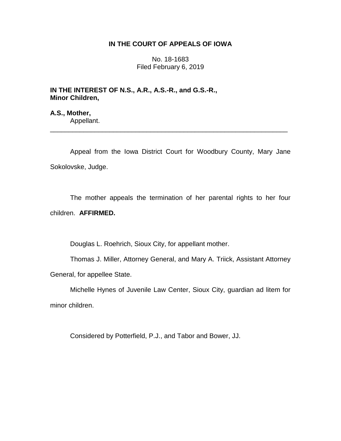## **IN THE COURT OF APPEALS OF IOWA**

No. 18-1683 Filed February 6, 2019

**IN THE INTEREST OF N.S., A.R., A.S.-R., and G.S.-R., Minor Children,**

**A.S., Mother,** Appellant.

Appeal from the Iowa District Court for Woodbury County, Mary Jane Sokolovske, Judge.

\_\_\_\_\_\_\_\_\_\_\_\_\_\_\_\_\_\_\_\_\_\_\_\_\_\_\_\_\_\_\_\_\_\_\_\_\_\_\_\_\_\_\_\_\_\_\_\_\_\_\_\_\_\_\_\_\_\_\_\_\_\_\_\_

The mother appeals the termination of her parental rights to her four children. **AFFIRMED.**

Douglas L. Roehrich, Sioux City, for appellant mother.

Thomas J. Miller, Attorney General, and Mary A. Triick, Assistant Attorney General, for appellee State.

Michelle Hynes of Juvenile Law Center, Sioux City, guardian ad litem for minor children.

Considered by Potterfield, P.J., and Tabor and Bower, JJ.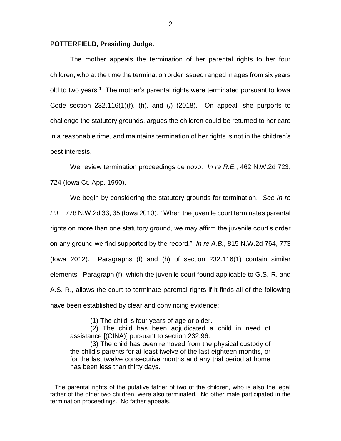## **POTTERFIELD, Presiding Judge.**

The mother appeals the termination of her parental rights to her four children, who at the time the termination order issued ranged in ages from six years old to two years.<sup>1</sup> The mother's parental rights were terminated pursuant to lowa Code section 232.116(1)(f), (h), and (*l*) (2018). On appeal, she purports to challenge the statutory grounds, argues the children could be returned to her care in a reasonable time, and maintains termination of her rights is not in the children's best interests.

We review termination proceedings de novo. *In re R.E.*, 462 N.W.2d 723, 724 (Iowa Ct. App. 1990).

We begin by considering the statutory grounds for termination. *See In re P.L.*, 778 N.W.2d 33, 35 (Iowa 2010). "When the juvenile court terminates parental rights on more than one statutory ground, we may affirm the juvenile court's order on any ground we find supported by the record." *In re A.B.*, 815 N.W.2d 764, 773 (Iowa 2012). Paragraphs (f) and (h) of section 232.116(1) contain similar elements. Paragraph (f), which the juvenile court found applicable to G.S.-R. and A.S.-R., allows the court to terminate parental rights if it finds all of the following have been established by clear and convincing evidence:

(1) The child is four years of age or older.

 $\overline{a}$ 

(2) The child has been adjudicated a child in need of assistance [(CINA)] pursuant to section 232.96.

(3) The child has been removed from the physical custody of the child's parents for at least twelve of the last eighteen months, or for the last twelve consecutive months and any trial period at home has been less than thirty days.

<sup>&</sup>lt;sup>1</sup> The parental rights of the putative father of two of the children, who is also the legal father of the other two children, were also terminated. No other male participated in the termination proceedings. No father appeals.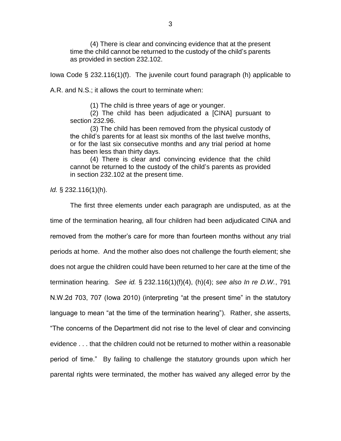(4) There is clear and convincing evidence that at the present time the child cannot be returned to the custody of the child's parents as provided in section 232.102.

Iowa Code § 232.116(1)(f). The juvenile court found paragraph (h) applicable to

A.R. and N.S.; it allows the court to terminate when:

(1) The child is three years of age or younger.

(2) The child has been adjudicated a [CINA] pursuant to section 232.96.

(3) The child has been removed from the physical custody of the child's parents for at least six months of the last twelve months, or for the last six consecutive months and any trial period at home has been less than thirty days.

(4) There is clear and convincing evidence that the child cannot be returned to the custody of the child's parents as provided in section 232.102 at the present time.

*Id.* § 232.116(1)(h).

The first three elements under each paragraph are undisputed, as at the time of the termination hearing, all four children had been adjudicated CINA and removed from the mother's care for more than fourteen months without any trial periods at home. And the mother also does not challenge the fourth element; she does not argue the children could have been returned to her care at the time of the termination hearing. *See id.* § 232.116(1)(f)(4), (h)(4); *see also In re D.W.*, 791 N.W.2d 703, 707 (Iowa 2010) (interpreting "at the present time" in the statutory language to mean "at the time of the termination hearing"). Rather, she asserts, "The concerns of the Department did not rise to the level of clear and convincing evidence . . . that the children could not be returned to mother within a reasonable period of time." By failing to challenge the statutory grounds upon which her parental rights were terminated, the mother has waived any alleged error by the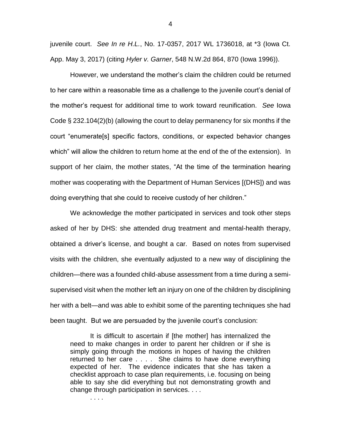juvenile court. *See In re H.L.*, No. 17-0357, 2017 WL 1736018, at \*3 (Iowa Ct. App. May 3, 2017) (citing *Hyler v. Garner*, 548 N.W.2d 864, 870 (Iowa 1996)).

However, we understand the mother's claim the children could be returned to her care within a reasonable time as a challenge to the juvenile court's denial of the mother's request for additional time to work toward reunification. *See* Iowa Code § 232.104(2)(b) (allowing the court to delay permanency for six months if the court "enumerate[s] specific factors, conditions, or expected behavior changes which" will allow the children to return home at the end of the of the extension). In support of her claim, the mother states, "At the time of the termination hearing mother was cooperating with the Department of Human Services [(DHS]) and was doing everything that she could to receive custody of her children."

We acknowledge the mother participated in services and took other steps asked of her by DHS: she attended drug treatment and mental-health therapy, obtained a driver's license, and bought a car. Based on notes from supervised visits with the children, she eventually adjusted to a new way of disciplining the children—there was a founded child-abuse assessment from a time during a semisupervised visit when the mother left an injury on one of the children by disciplining her with a belt—and was able to exhibit some of the parenting techniques she had been taught. But we are persuaded by the juvenile court's conclusion:

It is difficult to ascertain if [the mother] has internalized the need to make changes in order to parent her children or if she is simply going through the motions in hopes of having the children returned to her care . . . . She claims to have done everything expected of her. The evidence indicates that she has taken a checklist approach to case plan requirements, i.e. focusing on being able to say she did everything but not demonstrating growth and change through participation in services. . . .

. . . .

4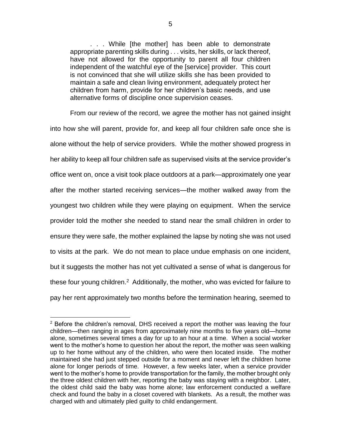. . . While [the mother] has been able to demonstrate appropriate parenting skills during . . . visits, her skills, or lack thereof, have not allowed for the opportunity to parent all four children independent of the watchful eye of the [service] provider. This court is not convinced that she will utilize skills she has been provided to maintain a safe and clean living environment, adequately protect her children from harm, provide for her children's basic needs, and use alternative forms of discipline once supervision ceases.

From our review of the record, we agree the mother has not gained insight into how she will parent, provide for, and keep all four children safe once she is alone without the help of service providers. While the mother showed progress in her ability to keep all four children safe as supervised visits at the service provider's office went on, once a visit took place outdoors at a park—approximately one year after the mother started receiving services—the mother walked away from the youngest two children while they were playing on equipment. When the service provider told the mother she needed to stand near the small children in order to ensure they were safe, the mother explained the lapse by noting she was not used to visits at the park. We do not mean to place undue emphasis on one incident, but it suggests the mother has not yet cultivated a sense of what is dangerous for these four young children.<sup>2</sup> Additionally, the mother, who was evicted for failure to pay her rent approximately two months before the termination hearing, seemed to

 $\overline{a}$ 

 $2$  Before the children's removal, DHS received a report the mother was leaving the four children—then ranging in ages from approximately nine months to five years old—home alone, sometimes several times a day for up to an hour at a time. When a social worker went to the mother's home to question her about the report, the mother was seen walking up to her home without any of the children, who were then located inside. The mother maintained she had just stepped outside for a moment and never left the children home alone for longer periods of time. However, a few weeks later, when a service provider went to the mother's home to provide transportation for the family, the mother brought only the three oldest children with her, reporting the baby was staying with a neighbor. Later, the oldest child said the baby was home alone; law enforcement conducted a welfare check and found the baby in a closet covered with blankets. As a result, the mother was charged with and ultimately pled guilty to child endangerment.